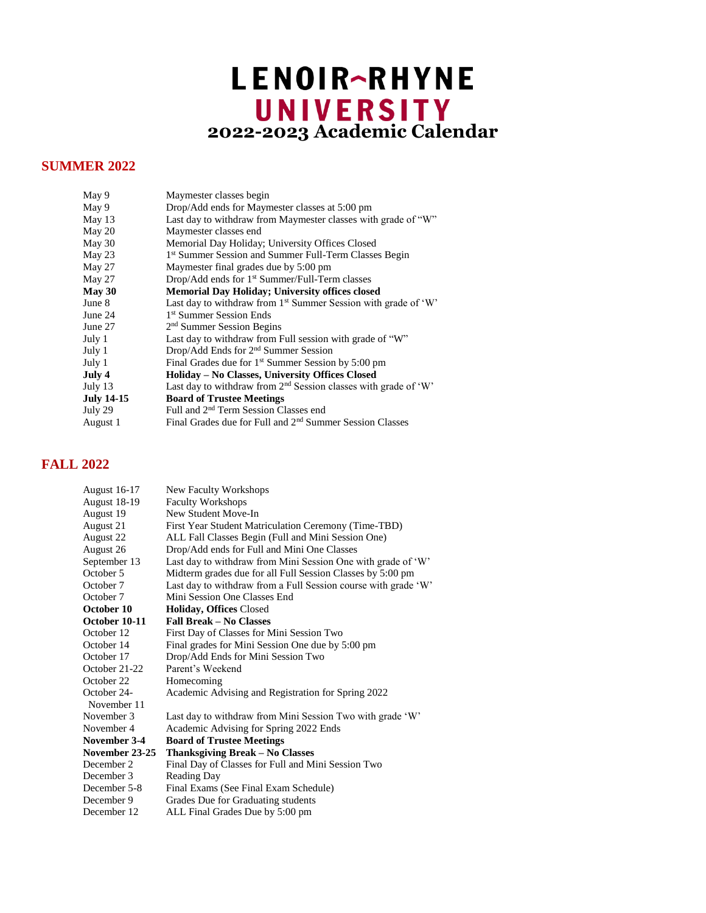## LENOIR-RHYNE **2022-2023 Academic Calendar**

## **SUMMER 2022**

| May 9         | Maymester classes begin                                                    |
|---------------|----------------------------------------------------------------------------|
| May 9         | Drop/Add ends for Maymester classes at 5:00 pm                             |
| May 13        | Last day to withdraw from Maymester classes with grade of "W"              |
| May 20        | Maymester classes end                                                      |
| May 30        | Memorial Day Holiday; University Offices Closed                            |
| May 23        | 1 <sup>st</sup> Summer Session and Summer Full-Term Classes Begin          |
| May 27        | Maymester final grades due by 5:00 pm                                      |
| May 27        | Drop/Add ends for 1 <sup>st</sup> Summer/Full-Term classes                 |
| <b>May 30</b> | <b>Memorial Day Holiday; University offices closed</b>                     |
| June 8        | Last day to withdraw from 1 <sup>st</sup> Summer Session with grade of 'W' |
| June 24       | <sup>1st</sup> Summer Session Ends                                         |
| June 27       | $2nd$ Summer Session Begins                                                |
| July 1        | Last day to withdraw from Full session with grade of "W"                   |
| July 1        | $Drop/Add$ Ends for $2nd$ Summer Session                                   |
| July 1        | Final Grades due for 1 <sup>st</sup> Summer Session by 5:00 pm             |
| July 4        | Holiday – No Classes, University Offices Closed                            |
| July 13       | Last day to withdraw from $2nd$ Session classes with grade of 'W'          |
| July 14-15    | <b>Board of Trustee Meetings</b>                                           |
| July 29       | Full and 2 <sup>nd</sup> Term Session Classes end                          |
| August 1      | Final Grades due for Full and 2 <sup>nd</sup> Summer Session Classes       |
|               |                                                                            |

## **FALL 2022**

| <b>New Faculty Workshops</b>                                   |
|----------------------------------------------------------------|
| <b>Faculty Workshops</b>                                       |
| New Student Move-In                                            |
| First Year Student Matriculation Ceremony (Time-TBD)           |
| ALL Fall Classes Begin (Full and Mini Session One)             |
| Drop/Add ends for Full and Mini One Classes                    |
| Last day to withdraw from Mini Session One with grade of 'W'   |
| Midterm grades due for all Full Session Classes by 5:00 pm     |
| Last day to withdraw from a Full Session course with grade 'W' |
| Mini Session One Classes End                                   |
| <b>Holiday, Offices Closed</b>                                 |
| <b>Fall Break - No Classes</b>                                 |
| First Day of Classes for Mini Session Two                      |
| Final grades for Mini Session One due by 5:00 pm               |
| Drop/Add Ends for Mini Session Two                             |
| Parent's Weekend                                               |
| Homecoming                                                     |
| Academic Advising and Registration for Spring 2022             |
| Last day to withdraw from Mini Session Two with grade 'W'      |
| Academic Advising for Spring 2022 Ends                         |
| <b>Board of Trustee Meetings</b>                               |
| Thanksgiving Break - No Classes                                |
| Final Day of Classes for Full and Mini Session Two             |
| <b>Reading Day</b>                                             |
| Final Exams (See Final Exam Schedule)                          |
| Grades Due for Graduating students                             |
| ALL Final Grades Due by 5:00 pm                                |
|                                                                |